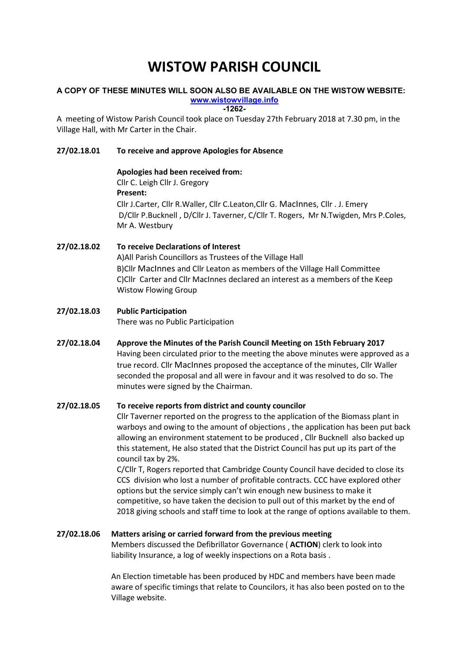# WISTOW PARISH COUNCIL

#### A COPY OF THESE MINUTES WILL SOON ALSO BE AVAILABLE ON THE WISTOW WEBSITE: www.wistowvillage.info

-1262-

A meeting of Wistow Parish Council took place on Tuesday 27th February 2018 at 7.30 pm, in the Village Hall, with Mr Carter in the Chair.

# 27/02.18.01 To receive and approve Apologies for Absence

## Apologies had been received from:

Cllr C. Leigh Cllr J. Gregory Present:

Cllr J.Carter, Cllr R.Waller, Cllr C.Leaton,Cllr G. MacInnes, Cllr . J. Emery D/Cllr P.Bucknell , D/Cllr J. Taverner, C/Cllr T. Rogers, Mr N.Twigden, Mrs P.Coles, Mr A. Westbury

# 27/02.18.02 To receive Declarations of Interest A)All Parish Councillors as Trustees of the Village Hall B)Cllr MacInnes and Cllr Leaton as members of the Village Hall Committee C)Cllr Carter and Cllr MacInnes declared an interest as a members of the Keep Wistow Flowing Group

# 27/02.18.03 Public Participation There was no Public Participation

# 27/02.18.04 Approve the Minutes of the Parish Council Meeting on 15th February 2017 Having been circulated prior to the meeting the above minutes were approved as a true record. Cllr MacInnes proposed the acceptance of the minutes, Cllr Waller seconded the proposal and all were in favour and it was resolved to do so. The minutes were signed by the Chairman.

# 27/02.18.05 To receive reports from district and county councilor

Cllr Taverner reported on the progress to the application of the Biomass plant in warboys and owing to the amount of objections , the application has been put back allowing an environment statement to be produced , Cllr Bucknell also backed up this statement, He also stated that the District Council has put up its part of the council tax by 2%.

C/Cllr T, Rogers reported that Cambridge County Council have decided to close its CCS division who lost a number of profitable contracts. CCC have explored other options but the service simply can't win enough new business to make it competitive, so have taken the decision to pull out of this market by the end of 2018 giving schools and staff time to look at the range of options available to them.

# 27/02.18.06 Matters arising or carried forward from the previous meeting

Members discussed the Defibrillator Governance ( ACTION) clerk to look into liability Insurance, a log of weekly inspections on a Rota basis .

An Election timetable has been produced by HDC and members have been made aware of specific timings that relate to Councilors, it has also been posted on to the Village website.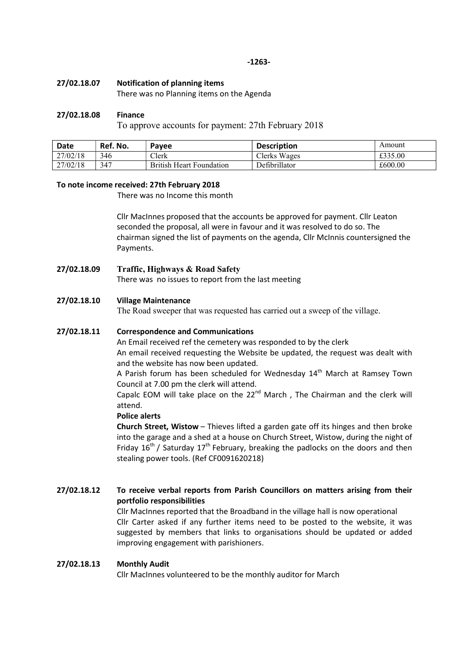#### 27/02.18.07 Notification of planning items

There was no Planning items on the Agenda

#### 27/02.18.08 Finance

To approve accounts for payment: 27th February 2018

| Date     | Ref. No. | Payee                    | <b>Description</b> | Amount  |
|----------|----------|--------------------------|--------------------|---------|
| 27/02/18 | 346      | Clerk                    | Clerks Wages       | £335.00 |
| 27/02/18 | 347      | British Heart Foundation | Defibrillator      | £600.00 |

#### To note income received: 27th February 2018

There was no Income this month

Cllr MacInnes proposed that the accounts be approved for payment. Cllr Leaton seconded the proposal, all were in favour and it was resolved to do so. The chairman signed the list of payments on the agenda, Cllr McInnis countersigned the Payments.

## 27/02.18.09 Traffic, Highways & Road Safety

There was no issues to report from the last meeting

## 27/02.18.10 Village Maintenance

The Road sweeper that was requested has carried out a sweep of the village.

### 27/02.18.11 Correspondence and Communications

An Email received ref the cemetery was responded to by the clerk An email received requesting the Website be updated, the request was dealt with and the website has now been updated.

A Parish forum has been scheduled for Wednesday  $14<sup>th</sup>$  March at Ramsey Town Council at 7.00 pm the clerk will attend.

Capalc EOM will take place on the  $22^{nd}$  March, The Chairman and the clerk will attend.

## Police alerts

Church Street, Wistow – Thieves lifted a garden gate off its hinges and then broke into the garage and a shed at a house on Church Street, Wistow, during the night of Friday 16<sup>th</sup> / Saturday 17<sup>th</sup> February, breaking the padlocks on the doors and then stealing power tools. (Ref CF0091620218)

# 27/02.18.12 To receive verbal reports from Parish Councillors on matters arising from their portfolio responsibilities

Cllr MacInnes reported that the Broadband in the village hall is now operational Cllr Carter asked if any further items need to be posted to the website, it was suggested by members that links to organisations should be updated or added improving engagement with parishioners.

## 27/02.18.13 Monthly Audit

Cllr MacInnes volunteered to be the monthly auditor for March